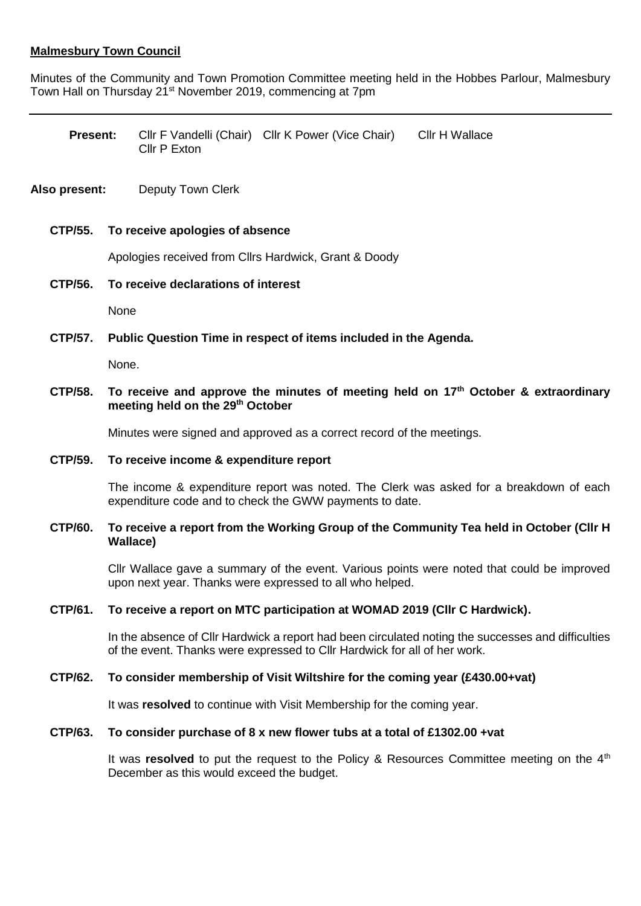# **Malmesbury Town Council**

Minutes of the Community and Town Promotion Committee meeting held in the Hobbes Parlour, Malmesbury Town Hall on Thursday 21<sup>st</sup> November 2019, commencing at 7pm

| Present: |              | CIIr F Vandelli (Chair) CIIr K Power (Vice Chair) | Cllr H Wallace |
|----------|--------------|---------------------------------------------------|----------------|
|          | Cllr P Exton |                                                   |                |

## **Also present:** Deputy Town Clerk

#### **CTP/55. To receive apologies of absence**

Apologies received from Cllrs Hardwick, Grant & Doody

#### **CTP/56. To receive declarations of interest**

None

## **CTP/57. Public Question Time in respect of items included in the Agenda.**

None.

# **CTP/58. To receive and approve the minutes of meeting held on 17th October & extraordinary meeting held on the 29th October**

Minutes were signed and approved as a correct record of the meetings.

#### **CTP/59. To receive income & expenditure report**

The income & expenditure report was noted. The Clerk was asked for a breakdown of each expenditure code and to check the GWW payments to date.

#### **CTP/60. To receive a report from the Working Group of the Community Tea held in October (Cllr H Wallace)**

Cllr Wallace gave a summary of the event. Various points were noted that could be improved upon next year. Thanks were expressed to all who helped.

## **CTP/61. To receive a report on MTC participation at WOMAD 2019 (Cllr C Hardwick).**

In the absence of Cllr Hardwick a report had been circulated noting the successes and difficulties of the event. Thanks were expressed to Cllr Hardwick for all of her work.

## **CTP/62. To consider membership of Visit Wiltshire for the coming year (£430.00+vat)**

It was **resolved** to continue with Visit Membership for the coming year.

#### **CTP/63. To consider purchase of 8 x new flower tubs at a total of £1302.00 +vat**

It was **resolved** to put the request to the Policy & Resources Committee meeting on the 4<sup>th</sup> December as this would exceed the budget.